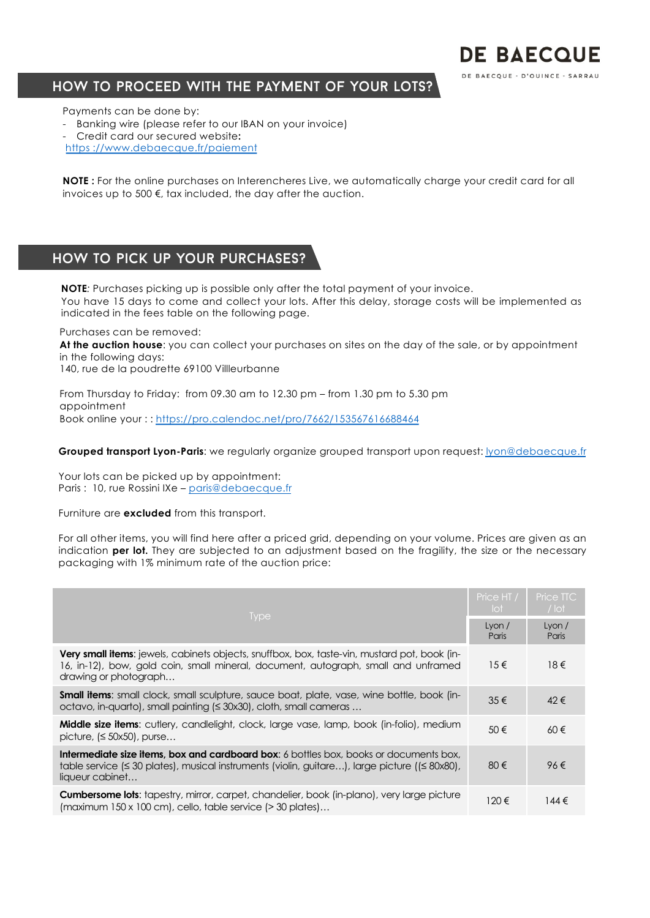### How to proceed with the payment of your lots?

Payments can be done by:

- Banking wire (please refer to our IBAN on your invoice)
- Credit card our secured website**:**
- https [://www.debaecque.fr/paiem](https://www.debaecque.fr/paiement)ent

**NOTE :** For the online purchases on Interencheres Live, we automatically charge your credit card for all invoices up to 500 €, tax included, the day after the auction.

## How to pick up your purchases?

**NOTE***:* Purchases picking up is possible only after the total payment of your invoice. You have 15 days to come and collect your lots. After this delay, storage costs will be implemented as indicated in the fees table on the following page.

Purchases can be removed:

**At the auction house**: you can collect your purchases on sites on the day of the sale, or by appointment in the following days:

140, rue de la poudrette 69100 Villleurbanne

From Thursday to Friday: from 09.30 am to 12.30 pm – from 1.30 pm to 5.30 pm appointment Book online your : : [https://pro.calendoc.net/pro/7662/153567616688](https://pro.calendoc.net/pro/7662/153567616688464)464

**Grouped transport Lyon-Paris**: we regularly organize grouped transport upon request: [lyon@debaecqu](mailto:lyon@debaecque.fr)e.fr

Your lots can be picked up by appointment: Paris : 10, rue Rossini IXe - [paris@debaecqu](mailto:paris@debaecque.fr)e.fr

Furniture are **excluded** from this transport.

For all other items, you will find here after a priced grid, depending on your volume. Prices are given as an indication **per lot.** They are subjected to an adjustment based on the fragility, the size or the necessary packaging with 1% minimum rate of the auction price:

|                                                                                                                                                                                                                               | Price HT /<br>lot | Price TTC<br>$/$ lot |
|-------------------------------------------------------------------------------------------------------------------------------------------------------------------------------------------------------------------------------|-------------------|----------------------|
| <b>Type</b>                                                                                                                                                                                                                   |                   | Lyon $/$<br>Paris    |
| <b>Very small items:</b> jewels, cabinets objects, snuffbox, box, taste-vin, mustard pot, book (in-<br>16, in-12), bow, gold coin, small mineral, document, autograph, small and unframed<br>drawing or photograph            | $15 \in$          | $18 \in$             |
| <b>Small items:</b> small clock, small sculpture, sauce boat, plate, vase, wine bottle, book (in-<br>octavo, in-quarto), small painting (≤ 30x30), cloth, small cameras                                                       | $35 \in$          | $42 \in$             |
| <b>Middle size items:</b> cutlery, candlelight, clock, large vase, lamp, book (in-folio), medium<br>picture, $(\leq 50x50)$ , purse                                                                                           | $50 \in$          | $60 \in$             |
| <b>Intermediate size items, box and cardboard box:</b> 6 bottles box, books or documents box,<br>table service ( $\leq$ 30 plates), musical instruments (violin, guitare), large picture ( $(\leq$ 80x80),<br>liqueur cabinet | 80€               | 96€                  |
| <b>Cumbersome lots:</b> tapestry, mirror, carpet, chandelier, book (in-plano), very large picture<br>$\frac{150 \times 100}{150 \times 100}$ cm, cello, table service (> 30 plates)                                           | 120€              | $144 \in$            |